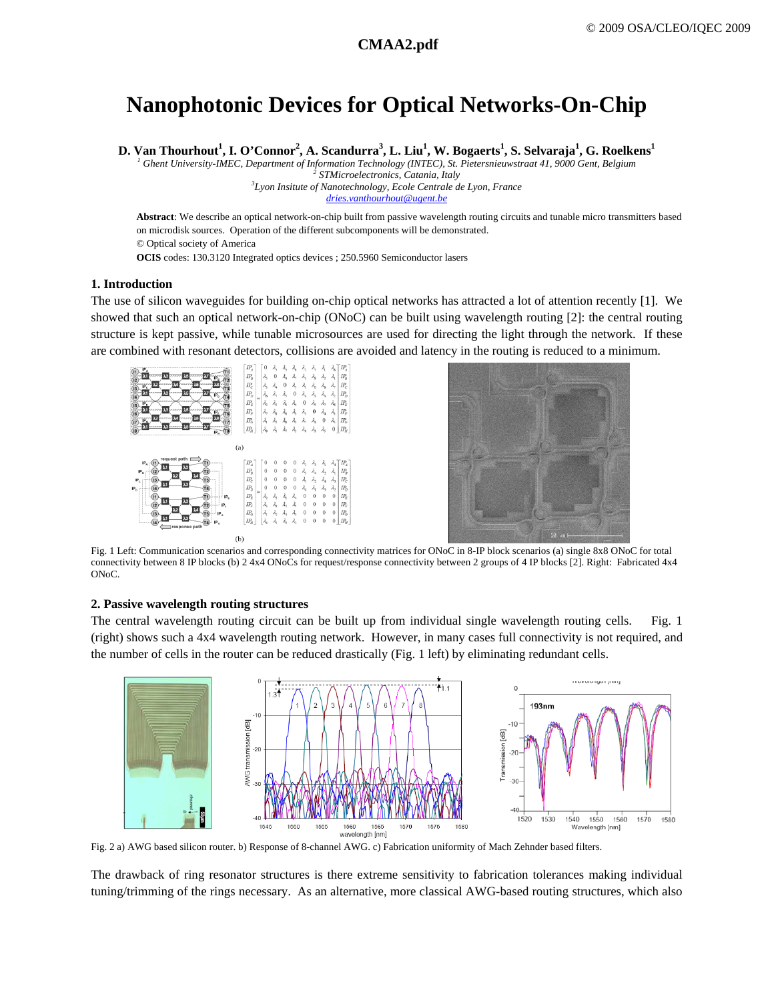# **Nanophotonic Devices for Optical Networks-On-Chip**

 ${\bf D}.$  Van Thourhout $^1,$  **I.** O'Connor $^2,$  A. Scandurra $^3,$  **L.** Liu $^1,$  W. Bogaerts $^1,$  S. Selvaraja $^1,$  G. Roelkens $^1$ 

<sup>1</sup> Ghent University-IMEC, Department of Information Technology (INTEC), St. Pietersnieuwstraat 41, 9000 Gent, Belgium <sup>2</sup><br><sup>2</sup> STMierseelestranies Catanic Italy

 *STMicroelectronics, Catania, Italy 3*

*Lyon Insitute of Nanotechnology, Ecole Centrale de Lyon, France dries.vanthourhout@ugent.be*

**Abstract**: We describe an optical network-on-chip built from passive wavelength routing circuits and tunable micro transmitters based on microdisk sources. Operation of the different subcomponents will be demonstrated. © Optical society of America **OCIS** codes: 130.3120 Integrated optics devices ; 250.5960 Semiconductor lasers

## **1. Introduction**

The use of silicon waveguides for building on-chip optical networks has attracted a lot of attention recently [1]. We showed that such an optical network-on-chip (ONoC) can be built using wavelength routing [2]: the central routing structure is kept passive, while tunable microsources are used for directing the light through the network. If these are combined with resonant detectors, collisions are avoided and latency in the routing is reduced to a minimum.





Fig. 1 Left: Communication scenarios and corresponding connectivity matrices for ONoC in 8-IP block scenarios (a) single 8x8 ONoC for total connectivity between 8 IP blocks (b) 2 4x4 ONoCs for request/response connectivity between 2 groups of 4 IP blocks [2]. Right: Fabricated 4x4 ONoC.

# **2. Passive wavelength routing structures**

The central wavelength routing circuit can be built up from individual single wavelength routing cells. Fig. 1 (right) shows such a 4x4 wavelength routing network. However, in many cases full connectivity is not required, and the number of cells in the router can be reduced drastically (Fig. 1 left) by eliminating redundant cells.



Fig. 2 a) AWG based silicon router. b) Response of 8-channel AWG. c) Fabrication uniformity of Mach Zehnder based filters.

The drawback of ring resonator structures is there extreme sensitivity to fabrication tolerances making individual tuning/trimming of the rings necessary. As an alternative, more classical AWG-based routing structures, which also